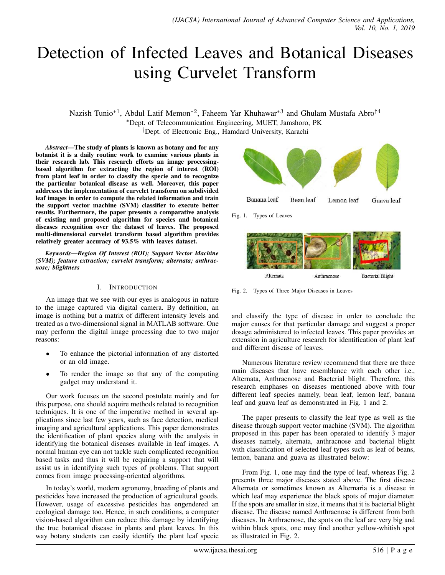# Detection of Infected Leaves and Botanical Diseases using Curvelet Transform

Nazish Tunio<sup>\*1</sup>, Abdul Latif Memon<sup>\*2</sup>, Faheem Yar Khuhawar<sup>\*3</sup> and Ghulam Mustafa Abro<sup>†4</sup>

<sup>∗</sup>Dept. of Telecommunication Engineering, MUET, Jamshoro, PK

†Dept. of Electronic Eng., Hamdard University, Karachi

*Abstract*—The study of plants is known as botany and for any botanist it is a daily routine work to examine various plants in their research lab. This research efforts an image processingbased algorithm for extracting the region of interest (ROI) from plant leaf in order to classify the specie and to recognize the particular botanical disease as well. Moreover, this paper addresses the implementation of curvelet transform on subdivided leaf images in order to compute the related information and train the support vector machine (SVM) classifier to execute better results. Furthermore, the paper presents a comparative analysis of existing and proposed algorithm for species and botanical diseases recognition over the dataset of leaves. The proposed multi-dimensional curvelet transform based algorithm provides relatively greater accuracy of 93.5% with leaves dataset.

*Keywords*—*Region Of Interest (ROI); Support Vector Machine (SVM); feature extraction; curvelet transform; alternata; anthracnose; blightness*

# I. INTRODUCTION

An image that we see with our eyes is analogous in nature to the image captured via digital camera. By definition, an image is nothing but a matrix of different intensity levels and treated as a two-dimensional signal in MATLAB software. One may perform the digital image processing due to two major reasons:

- To enhance the pictorial information of any distorted or an old image.
- To render the image so that any of the computing gadget may understand it.

Our work focuses on the second postulate mainly and for this purpose, one should acquire methods related to recognition techniques. It is one of the imperative method in several applications since last few years, such as face detection, medical imaging and agricultural applications. This paper demonstrates the identification of plant species along with the analysis in identifying the botanical diseases available in leaf images. A normal human eye can not tackle such complicated recognition based tasks and thus it will be requiring a support that will assist us in identifying such types of problems. That support comes from image processing-oriented algorithms.

In today's world, modern agronomy, breeding of plants and pesticides have increased the production of agricultural goods. However, usage of excessive pesticides has engendered an ecological damage too. Hence, in such conditions, a computer vision-based algorithm can reduce this damage by identifying the true botanical disease in plants and plant leaves. In this way botany students can easily identify the plant leaf specie



Fig. 1. Types of Leaves



Fig. 2. Types of Three Major Diseases in Leaves

and classify the type of disease in order to conclude the major causes for that particular damage and suggest a proper dosage administered to infected leaves. This paper provides an extension in agriculture research for identification of plant leaf and different disease of leaves.

Numerous literature review recommend that there are three main diseases that have resemblance with each other i.e., Alternata, Anthracnose and Bacterial blight. Therefore, this research emphases on diseases mentioned above with four different leaf species namely, bean leaf, lemon leaf, banana leaf and guava leaf as demonstrated in Fig. 1 and 2.

The paper presents to classify the leaf type as well as the disease through support vector machine (SVM). The algorithm proposed in this paper has been operated to identify 3 major diseases namely, alternata, anthracnose and bacterial blight with classification of selected leaf types such as leaf of beans, lemon, banana and guava as illustrated below:

From Fig. 1, one may find the type of leaf, whereas Fig. 2 presents three major diseases stated above. The first disease Alternata or sometimes known as Alternaria is a disease in which leaf may experience the black spots of major diameter. If the spots are smaller in size, it means that it is bacterial blight disease. The disease named Anthracnose is different from both diseases. In Anthracnose, the spots on the leaf are very big and within black spots, one may find another yellow-whitish spot as illustrated in Fig. 2.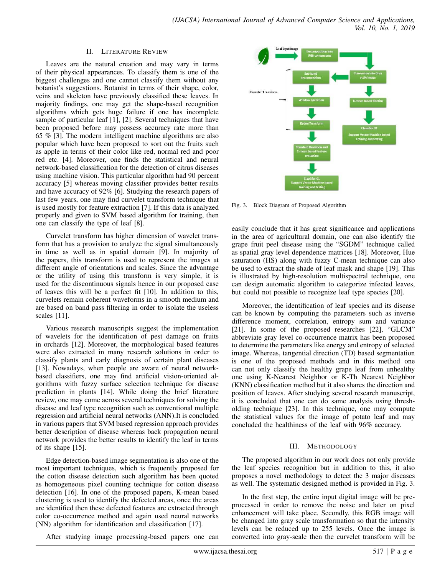#### II. LITERATURE REVIEW

Leaves are the natural creation and may vary in terms of their physical appearances. To classify them is one of the biggest challenges and one cannot classify them without any botanist's suggestions. Botanist in terms of their shape, color, veins and skeleton have previously classified these leaves. In majority findings, one may get the shape-based recognition algorithms which gets huge failure if one has incomplete sample of particular leaf [1], [2]. Several techniques that have been proposed before may possess accuracy rate more than 65 % [3]. The modern intelligent machine algorithms are also popular which have been proposed to sort out the fruits such as apple in terms of their color like red, normal red and poor red etc. [4]. Moreover, one finds the statistical and neural network-based classification for the detection of citrus diseases using machine vision. This particular algorithm had 90 percent accuracy [5] whereas moving classifier provides better results and have accuracy of 92% [6]. Studying the research papers of last few years, one may find curvelet transform technique that is used mostly for feature extraction [7]. If this data is analyzed properly and given to SVM based algorithm for training, then one can classify the type of leaf [8].

Curvelet transform has higher dimension of wavelet transform that has a provision to analyze the signal simultaneously in time as well as in spatial domain [9]. In majority of the papers, this transform is used to represent the images at different angle of orientations and scales. Since the advantage or the utility of using this transform is very simple, it is used for the discontinuous signals hence in our proposed case of leaves this will be a perfect fit [10]. In addition to this, curvelets remain coherent waveforms in a smooth medium and are based on band pass filtering in order to isolate the useless scales [11].

Various research manuscripts suggest the implementation of wavelets for the identification of pest damage on fruits in orchards [12]. Moreover, the morphological based features were also extracted in many research solutions in order to classify plants and early diagnosis of certain plant diseases [13]. Nowadays, when people are aware of neural networkbased classifiers, one may find artificial vision-oriented algorithms with fuzzy surface selection technique for disease prediction in plants [14]. While doing the brief literature review, one may come across several techniques for solving the disease and leaf type recognition such as conventional multiple regression and artificial neural networks (ANN).It is concluded in various papers that SVM based regression approach provides better description of disease whereas back propagation neural network provides the better results to identify the leaf in terms of its shape [15].

Edge detection-based image segmentation is also one of the most important techniques, which is frequently proposed for the cotton disease detection such algorithm has been quoted as homogeneous pixel counting technique for cotton disease detection [16]. In one of the proposed papers, K-mean based clustering is used to identify the defected areas, once the areas are identified then these defected features are extracted through color co-occurrence method and again used neural networks (NN) algorithm for identification and classification [17].

After studying image processing-based papers one can



Fig. 3. Block Diagram of Proposed Algorithm

easily conclude that it has great significance and applications in the area of agricultural domain, one can also identify the grape fruit peel disease using the "SGDM" technique called as spatial gray level dependence matrices [18]. Moreover, Hue saturation (HS) along with fuzzy C-mean technique can also be used to extract the shade of leaf mask and shape [19]. This is illustrated by high-resolution multispectral technique, one can design automatic algorithm to categorize infected leaves, but could not possible to recognize leaf type species [20].

Moreover, the identification of leaf species and its disease can be known by computing the parameters such as inverse difference moment, correlation, entropy sum and variance [21]. In some of the proposed researches [22], "GLCM" abbreviate gray level co-occurrence matrix has been proposed to determine the parameters like energy and entropy of selected image. Whereas, tangential direction (TD) based segmentation is one of the proposed methods and in this method one can not only classify the healthy grape leaf from unhealthy one using K-Nearest Neighbor or K-Th Nearest Neighbor (KNN) classification method but it also shares the direction and position of leaves. After studying several research manuscript, it is concluded that one can do same analysis using thresholding technique [23]. In this technique, one may compute the statistical values for the image of potato leaf and may concluded the healthiness of the leaf with 96% accuracy.

## III. METHODOLOGY

The proposed algorithm in our work does not only provide the leaf species recognition but in addition to this, it also proposes a novel methodology to detect the 3 major diseases as well. The systematic designed method is provided in Fig. 3.

In the first step, the entire input digital image will be preprocessed in order to remove the noise and later on pixel enhancement will take place. Secondly, this RGB image will be changed into gray scale transformation so that the intensity levels can be reduced up to 255 levels. Once the image is converted into gray-scale then the curvelet transform will be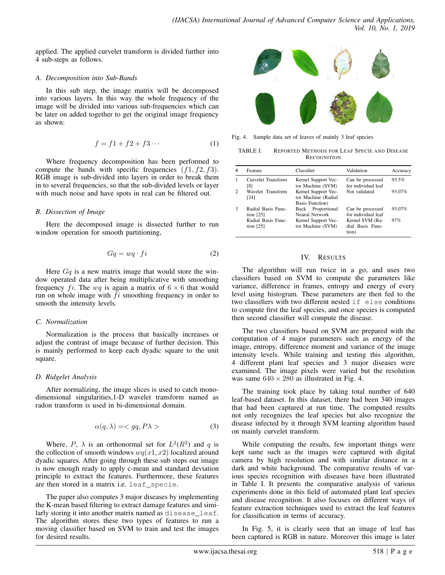applied. The applied curvelet transform is divided further into 4 sub-steps as follows.

## *A. Decomposition into Sub-Bands*

In this sub step, the image matrix will be decomposed into various layers. In this way the whole frequency of the image will be divided into various sub-frequencies which can be later on added together to get the original image frequency as shown:

$$
f = f1 + f2 + f3 \cdots \tag{1}
$$

Where frequency decomposition has been performed to compute the bands with specific frequencies  $(f1, f2, f3)$ . RGB image is sub-divided into layers in order to break them in to several frequencies, so that the sub-divided levels or layer with much noise and have spots in real can be filtered out.

## *B. Dissection of Image*

Here the decomposed image is dissected further to run window operation for smooth partitioning,

$$
Gq = wq \cdot fi \tag{2}
$$

Here  $Gq$  is a new matrix image that would store the window operated data after being multiplicative with smoothing frequency fi. The wq is again a matrix of  $6 \times 6$  that would run on whole image with  $fi$  smoothing frequency in order to smooth the intensity levels.

## *C. Normalization*

Normalization is the process that basically increases or adjust the contrast of image because of further decision. This is mainly performed to keep each dyadic square to the unit square.

## *D. Ridgelet Analysis*

After normalizing, the image slices is used to catch monodimensional singularities,1-D wavelet transform named as radon transform is used in bi-dimensional domain.

$$
\alpha(q,\lambda) = \langle gq, P\lambda \rangle \tag{3}
$$

Where, P,  $\lambda$  is an orthonormal set for  $L^2(R^2)$  and q is the collection of smooth windows  $wq(x1, x2)$  localized around dyadic squares. After going through these sub steps our image is now enough ready to apply c-mean and standard deviation principle to extract the features. Furthermore, these features are then stored in a matrix i.e. leaf\_specie.

The paper also computes 3 major diseases by implementing the K-mean based filtering to extract damage features and similarly storing it into another matrix named as disease\_leaf. The algorithm stores these two types of features to run a moving classifier based on SVM to train and test the images for desired results.



Fig. 4. Sample data set of leaves of mainly 3 leaf species

TABLE I. REPORTED METHODS FOR LEAF SPECIE AND DISEASE **RECOGNITION** 

| #              | Feature                           | Classifier                                                    | Validation                                   | Accuracy |
|----------------|-----------------------------------|---------------------------------------------------------------|----------------------------------------------|----------|
| 1              | Curvelet Transform<br>[8]         | Kernel Support Vec-<br>tor Machine (SVM)                      | Can be processed<br>for individual leaf      | 93.5%    |
| $\overline{2}$ | Wavelet Transform<br>[24]         | Kernel Support Vec-<br>tor Machine (Radial<br>Basis Function) | Not validated                                | 93.07%   |
| $\mathcal{R}$  | Radial Basis Func-<br>tion $[25]$ | Proportional<br>Back<br>Neural Network                        | Can be processed<br>for individual leaf      | 93.07%   |
|                | Radial Basis Func-<br>tion $[25]$ | Kernel Support Vec-<br>tor Machine (SVM)                      | Kernel SVM (Ra-<br>dial Basis Func-<br>tion) | 97%      |

## IV. RESULTS

The algorithm will run twice in a go, and uses two classifiers based on SVM to compute the parameters like variance, difference in frames, entropy and energy of every level using histogram. These parameters are then fed to the two classifiers with two different nested if else conditions to compute first the leaf species, and once species is computed then second classifier will compute the disease.

The two classifiers based on SVM are prepared with the computation of 4 major parameters such as energy of the image, entropy, difference moment and variance of the image intensity levels. While training and testing this algorithm, 4 different plant leaf species and 3 major diseases were examined. The image pixels were varied but the resolution was same  $640 \times 280$  as illustrated in Fig. 4.

The training took place by taking total number of 640 leaf-based dataset. In this dataset, there had been 340 images that had been captured at run time. The computed results not only recognizes the leaf species but also recognize the disease infected by it through SVM learning algorithm based on mainly curvelet transform.

While computing the results, few important things were kept same such as the images were captured with digital camera by high resolution and with similar distance in a dark and white background. The comparative results of various species recognition with diseases have been illustrated in Table I. It presents the comparative analysis of various experiments done in this field of automated plant leaf species and disease recognition. It also focuses on different ways of feature extraction techniques used to extract the leaf features for classification in terms of accuracy.

In Fig. 5, it is clearly seen that an image of leaf has been captured is RGB in nature. Moreover this image is later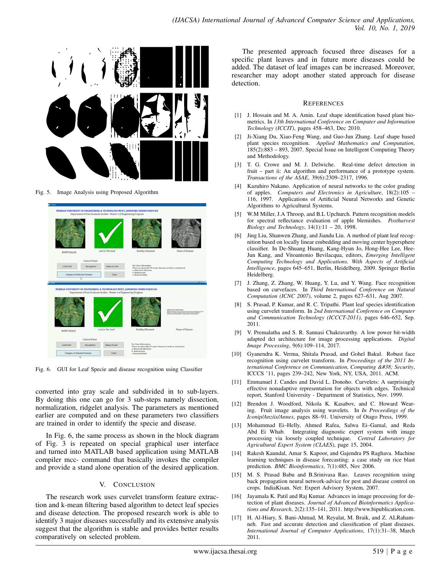

Fig. 5. Image Analysis using Proposed Algorithm



Fig. 6. GUI for Leaf Specie and disease recognition using Classifier

converted into gray scale and subdivided in to sub-layers. By doing this one can go for 3 sub-steps namely dissection, normalization, ridgelet analysis. The parameters as mentioned earlier are computed and on these parameters two classifiers are trained in order to identify the specie and disease.

In Fig. 6, the same process as shown in the block diagram of Fig. 3 is repeated on special graphical user interface and turned into MATLAB based application using MATLAB compiler mcc- command that basically invokes the compiler and provide a stand alone operation of the desired application.

## V. CONCLUSION

The research work uses curvelet transform feature extraction and k-mean filtering based algorithm to detect leaf species and disease detection. The proposed research work is able to identify 3 major diseases successfully and its extensive analysis suggest that the algorithm is stable and provides better results comparatively on selected problem.

The presented approach focused three diseases for a specific plant leaves and in future more diseases could be added. The dataset of leaf images can be increased. Moreover, researcher may adopt another stated approach for disease detection.

#### **REFERENCES**

- [1] J. Hossain and M. A. Amin. Leaf shape identification based plant biometrics. In *13th International Conference on Computer and Information Technology (ICCIT)*, pages 458–463, Dec 2010.
- [2] Ji-Xiang Du, Xiao-Feng Wang, and Guo-Jun Zhang. Leaf shape based plant species recognition. *Applied Mathematics and Computation*,  $185(2):883 - 893$ , 2007. Special Issue on Intelligent Computing Theory and Methodology.
- [3] T. G. Crowe and M. J. Delwiche. Real-time defect detection in fruit – part ii: An algorithm and performance of a prototype system. *Transactions of the ASAE*, 39(6):2309–2317, 1996.
- [4] Kazuhiro Nakano. Application of neural networks to the color grading of apples. *Computers and Electronics in Agriculture*, 18(2):105 – 116, 1997. Applications of Artificial Neural Networks and Genetic Algorithms to Agricultural Systems.
- [5] W.M Miller, J.A Throop, and B.L Upchurch. Pattern recognition models for spectral reflectance evaluation of apple blemishes. *Postharvest Biology and Technology*, 14(1):11 – 20, 1998.
- Jing Liu, Shanwen Zhang, and Jiandu Liu. A method of plant leaf recognition based on locally linear embedding and moving center hypersphere classifier. In De-Shuang Huang, Kang-Hyun Jo, Hong-Hee Lee, Hee-Jun Kang, and Vitoantonio Bevilacqua, editors, *Emerging Intelligent Computing Technology and Applications. With Aspects of Artificial Intelligence*, pages 645–651, Berlin, Heidelberg, 2009. Springer Berlin Heidelberg.
- [7] J. Zhang, Z. Zhang, W. Huang, Y. Lu, and Y. Wang. Face recognition based on curvefaces. In *Third International Conference on Natural Computation (ICNC 2007)*, volume 2, pages 627–631, Aug 2007.
- [8] S. Prasad, P. Kumar, and R. C. Tripathi. Plant leaf species identification using curvelet transform. In *2nd International Conference on Computer and Communication Technology (ICCCT-2011)*, pages 646–652, Sep. 2011.
- [9] V. Premalatha and S. R. Sannasi Chakravarthy. A low power bit-width adapted dct architecture for image processing applications. *Digital Image Processing*, 9(6):109–114, 2017.
- [10] Gyanendra K. Verma, Shitala Prasad, and Gohel Bakul. Robust face recognition using curvelet transform. In *Proceedings of the 2011 International Conference on Communication, Computing & Security,* ICCCS '11, pages 239–242, New York, NY, USA, 2011. ACM.
- [11] Emmanuel J. Candes and David L. Donoho. Curvelets: A surprisingly effective nonadaptive representation for objects with edges. Technical report, Stanford University - Department of Statistics, Nov. 1999.
- [12] Brendon J. Woodford, Nikola K. Kasabov, and C. Howard Wearing. Fruit image analysis using wavelets. In *In Proceedings of the Iconip/Anziis/Annes*, pages 88–91. University of Otago Press, 1999.
- [13] Mohammad Ei-Helly, Ahmed Rafea, Salwa Ei-Gamal, and Reda Abd Ei Whab. Integrating diagnostic expert system with image processing via loosely coupled technique. *Central Laboratory for Agricultural Expert System (CLAES)*, page 15, 2004.
- [14] Rakesh Kaundal, Amar S. Kapoor, and Gajendra PS Raghava. Machine learning techniques in disease forecasting: a case study on rice blast prediction. *BMC Bioinformatics*, 7(1):485, Nov 2006.
- [15] M. S. Prasad Babu and B.Srinivasa Rao. Leaves recognition using back propagation neural network-advice for pest and disease control on crops. IndiaKisan. Net: Expert Advisory System, 2007.
- [16] Jayamala K. Patil and Raj Kumar. Advances in image processing for detection of plant diseases. *Journal of Advanced Bioinformatics Applications and Research*, 2(2):135–141, 2011. http://www.bipublication.com.
- [17] H. Al-Hiary, S. Bani-Ahmad, M. Reyalat, M. Braik, and Z. ALRahamneh. Fast and accurate detection and classification of plant diseases. *International Journal of Computer Applications*, 17(1):31–38, March 2011.